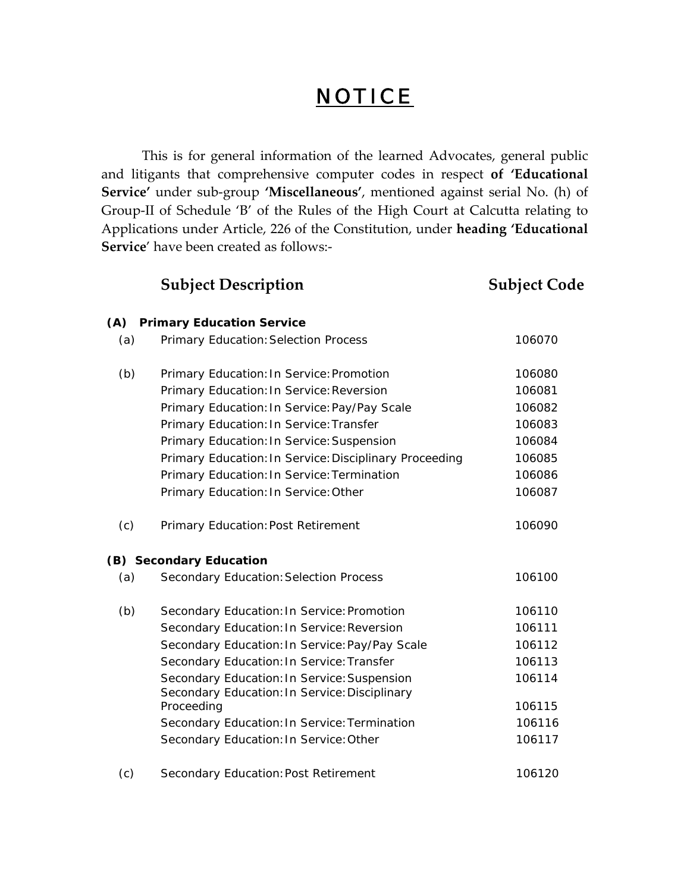## **NOTICE**

This is for general information of the learned Advocates, general public and litigants that comprehensive computer codes in respect **of 'Educational Service'** under sub‐group **'Miscellaneous'**, mentioned against serial No. (h) of Group‐II of Schedule 'B' of the Rules of the High Court at Calcutta relating to Applications under Article, 226 of the Constitution, under **heading 'Educational Service**' have been created as follows:‐

|     | <b>Subject Description</b>                                                                   | <b>Subject Code</b> |
|-----|----------------------------------------------------------------------------------------------|---------------------|
| (A) | <b>Primary Education Service</b>                                                             |                     |
| (a) | <b>Primary Education: Selection Process</b>                                                  | 106070              |
| (b) | Primary Education: In Service: Promotion                                                     | 106080              |
|     | Primary Education: In Service: Reversion                                                     | 106081              |
|     | Primary Education: In Service: Pay/Pay Scale                                                 | 106082              |
|     | Primary Education: In Service: Transfer                                                      | 106083              |
|     | Primary Education: In Service: Suspension                                                    | 106084              |
|     | Primary Education: In Service: Disciplinary Proceeding                                       | 106085              |
|     | Primary Education: In Service: Termination                                                   | 106086              |
|     | Primary Education: In Service: Other                                                         | 106087              |
| (c) | Primary Education: Post Retirement                                                           | 106090              |
|     | (B) Secondary Education                                                                      |                     |
| (a) | <b>Secondary Education: Selection Process</b>                                                | 106100              |
| (b) | Secondary Education: In Service: Promotion                                                   | 106110              |
|     | Secondary Education: In Service: Reversion                                                   | 106111              |
|     | Secondary Education: In Service: Pay/Pay Scale                                               | 106112              |
|     | Secondary Education: In Service: Transfer                                                    | 106113              |
|     | Secondary Education: In Service: Suspension<br>Secondary Education: In Service: Disciplinary | 106114              |
|     | Proceeding                                                                                   | 106115              |
|     | Secondary Education: In Service: Termination                                                 | 106116              |
|     | Secondary Education: In Service: Other                                                       | 106117              |
| (c) | Secondary Education: Post Retirement                                                         | 106120              |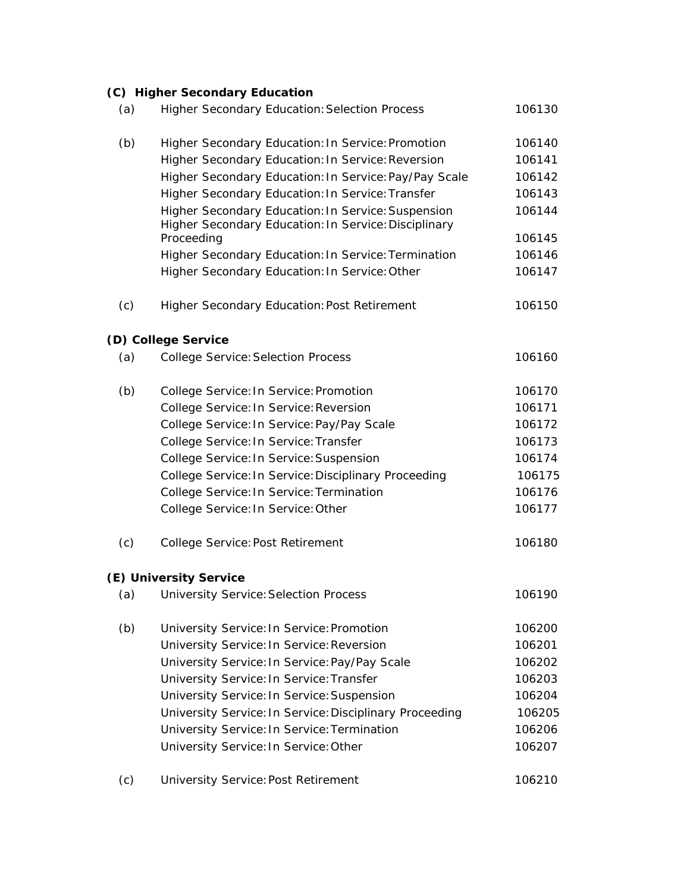|     | (C) Higher Secondary Education                                     |        |
|-----|--------------------------------------------------------------------|--------|
| (a) | <b>Higher Secondary Education: Selection Process</b>               | 106130 |
| (b) | Higher Secondary Education: In Service: Promotion                  | 106140 |
|     | Higher Secondary Education: In Service: Reversion                  | 106141 |
|     | Higher Secondary Education: In Service: Pay/Pay Scale              | 106142 |
|     | Higher Secondary Education: In Service: Transfer                   | 106143 |
|     | Higher Secondary Education: In Service: Suspension                 | 106144 |
|     | Higher Secondary Education: In Service: Disciplinary<br>Proceeding | 106145 |
|     | Higher Secondary Education: In Service: Termination                | 106146 |
|     | Higher Secondary Education: In Service: Other                      | 106147 |
| (c) | <b>Higher Secondary Education: Post Retirement</b>                 | 106150 |
|     | (D) College Service                                                |        |
| (a) | <b>College Service: Selection Process</b>                          | 106160 |
| (b) | College Service: In Service: Promotion                             | 106170 |
|     | College Service: In Service: Reversion                             | 106171 |
|     | College Service: In Service: Pay/Pay Scale                         | 106172 |
|     | College Service: In Service: Transfer                              | 106173 |
|     | College Service: In Service: Suspension                            | 106174 |
|     | College Service: In Service: Disciplinary Proceeding               | 106175 |
|     | College Service: In Service: Termination                           | 106176 |
|     | College Service: In Service: Other                                 | 106177 |
| (c) | College Service: Post Retirement                                   | 106180 |
|     | (E) University Service                                             |        |
| (a) | <b>University Service: Selection Process</b>                       | 106190 |
| (b) | University Service: In Service: Promotion                          | 106200 |
|     | University Service: In Service: Reversion                          | 106201 |
|     | University Service: In Service: Pay/Pay Scale                      | 106202 |
|     | University Service: In Service: Transfer                           | 106203 |
|     | University Service: In Service: Suspension                         | 106204 |
|     | University Service: In Service: Disciplinary Proceeding            | 106205 |
|     | University Service: In Service: Termination                        | 106206 |
|     | University Service: In Service: Other                              | 106207 |
|     | Complete Deat Datisson                                             | 101010 |

(c) University Service: Post Retirement 106210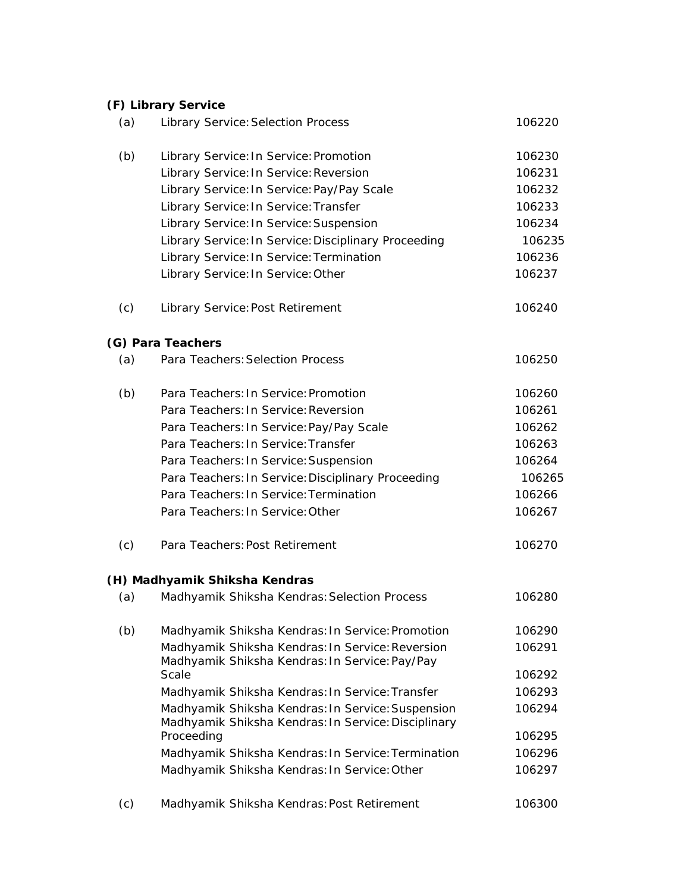|     | (F) Library Service                                                                                      |        |
|-----|----------------------------------------------------------------------------------------------------------|--------|
| (a) | <b>Library Service: Selection Process</b>                                                                | 106220 |
| (b) | Library Service: In Service: Promotion                                                                   | 106230 |
|     | Library Service: In Service: Reversion                                                                   | 106231 |
|     | Library Service: In Service: Pay/Pay Scale                                                               | 106232 |
|     | Library Service: In Service: Transfer                                                                    | 106233 |
|     | Library Service: In Service: Suspension                                                                  | 106234 |
|     | Library Service: In Service: Disciplinary Proceeding                                                     | 106235 |
|     | Library Service: In Service: Termination                                                                 | 106236 |
|     | Library Service: In Service: Other                                                                       | 106237 |
| (c) | Library Service: Post Retirement                                                                         | 106240 |
|     | (G) Para Teachers                                                                                        |        |
| (a) | Para Teachers: Selection Process                                                                         | 106250 |
| (b) | Para Teachers: In Service: Promotion                                                                     | 106260 |
|     | Para Teachers: In Service: Reversion                                                                     | 106261 |
|     | Para Teachers: In Service: Pay/Pay Scale                                                                 | 106262 |
|     | Para Teachers: In Service: Transfer                                                                      | 106263 |
|     | Para Teachers: In Service: Suspension                                                                    | 106264 |
|     | Para Teachers: In Service: Disciplinary Proceeding                                                       | 106265 |
|     | Para Teachers: In Service: Termination                                                                   | 106266 |
|     | Para Teachers: In Service: Other                                                                         | 106267 |
| (c) | Para Teachers: Post Retirement                                                                           | 106270 |
|     | (H) Madhyamik Shiksha Kendras                                                                            |        |
| (a) | Madhyamik Shiksha Kendras: Selection Process                                                             | 106280 |
| (b) | Madhyamik Shiksha Kendras: In Service: Promotion                                                         | 106290 |
|     | Madhyamik Shiksha Kendras: In Service: Reversion<br>Madhyamik Shiksha Kendras: In Service: Pay/Pay       | 106291 |
|     | Scale                                                                                                    | 106292 |
|     | Madhyamik Shiksha Kendras: In Service: Transfer                                                          | 106293 |
|     | Madhyamik Shiksha Kendras: In Service: Suspension<br>Madhyamik Shiksha Kendras: In Service: Disciplinary | 106294 |
|     | Proceeding                                                                                               | 106295 |
|     | Madhyamik Shiksha Kendras: In Service: Termination                                                       | 106296 |
|     | Madhyamik Shiksha Kendras: In Service: Other                                                             | 106297 |
| (c) | Madhyamik Shiksha Kendras: Post Retirement                                                               | 106300 |